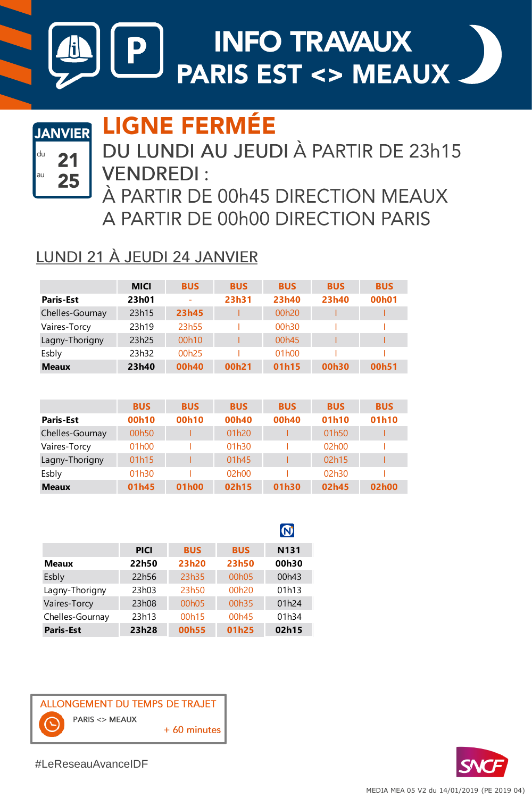

## **LIGNE FERMÉE**



### DU LUNDI AU JEUDI À PARTIR DE 23h15 **VENDREDI:**

À PARTIR DE 00h45 DIRECTION MEAUX A PARTIR DE 00h00 DIRECTION PARIS

#### LUNDI 21 À JEUDI 24 JANVIER

|                  | <b>MICI</b> | <b>BUS</b>        | <b>BUS</b> | <b>BUS</b>         | <b>BUS</b> | <b>BUS</b>         |
|------------------|-------------|-------------------|------------|--------------------|------------|--------------------|
| <b>Paris-Est</b> | 23h01       |                   | 23h31      | 23h40              | 23h40      | 00 <sub>h</sub> 01 |
| Chelles-Gournay  | 23h15       | 23h45             |            | 00 <sub>h20</sub>  |            |                    |
| Vaires-Torcy     | 23h19       | 23h55             |            | 00h30              |            |                    |
| Lagny-Thorigny   | 23h25       | 00h10             |            | 00 <sub>h45</sub>  |            |                    |
| Esbly            | 23h32       | 00 <sub>h25</sub> |            | 01 <sub>h</sub> 00 |            |                    |
| <b>Meaux</b>     | 23h40       | 00h40             | 00h21      | 01h15              | 00h30      | 00h51              |

|                  | <b>BUS</b>         | <b>BUS</b>        | <b>BUS</b> | <b>BUS</b> | <b>BUS</b> | <b>BUS</b> |
|------------------|--------------------|-------------------|------------|------------|------------|------------|
| <b>Paris-Est</b> | 00h10              | 00h10             | 00h40      | 00h40      | 01h10      | 01h10      |
| Chelles-Gournay  | 00h50              |                   | 01h20      |            | 01h50      |            |
| Vaires-Torcy     | 01 <sub>h</sub> 00 |                   | 01h30      |            | 02h00      |            |
| Lagny-Thorigny   | 01h15              |                   | 01h45      |            | 02h15      |            |
| Esbly            | 01h30              |                   | 02h00      |            | 02h30      |            |
| <b>Meaux</b>     | 01h45              | 01 <sub>h00</sub> | 02h15      | 01h30      | 02h45      | 02h00      |

|                  |             |                    |                    | $\bullet$        |
|------------------|-------------|--------------------|--------------------|------------------|
|                  | <b>PICI</b> | <b>BUS</b>         | <b>BUS</b>         | N <sub>131</sub> |
| <b>Meaux</b>     | 22h50       | 23h20              | 23h50              | 00h30            |
| Esbly            | 22h56       | 23h35              | 00 <sub>h</sub> 05 | 00h43            |
| Lagny-Thorigny   | 23h03       | 23h50              | 00h20              | 01h13            |
| Vaires-Torcy     | 23h08       | 00 <sub>h</sub> 05 | 00h35              | 01h24            |
| Chelles-Gournay  | 23h13       | 00h15              | 00h45              | 01h34            |
| <b>Paris-Est</b> | 23h28       | 00h55              | 01h25              | 02h15            |





#LeReseauAvanceIDF